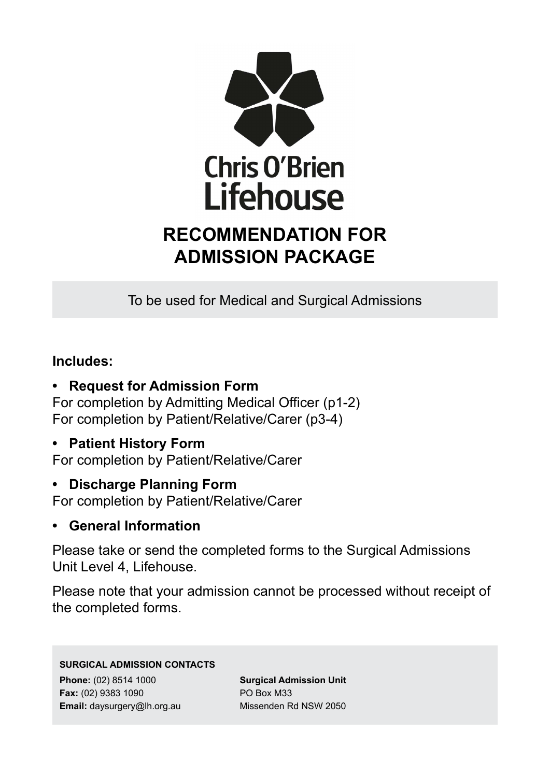

# **RECOMMENDATION FOR ADMISSION PACKAGE**

To be used for Medical and Surgical Admissions

## **Includes:**

**• Request for Admission Form**

For completion by Admitting Medical Officer (p1-2) For completion by Patient/Relative/Carer (p3-4)

**• Patient History Form**

For completion by Patient/Relative/Carer

### **• Discharge Planning Form**

For completion by Patient/Relative/Carer

### **• General Information**

Please take or send the completed forms to the Surgical Admissions Unit Level 4, Lifehouse.

Please note that your admission cannot be processed without receipt of the completed forms.

#### **SURGICAL ADMISSION CONTACTS**

**Phone:** (02) 8514 1000 **Fax:** (02) 9383 1090 **Email:** daysurgery@lh.org.au **Surgical Admission Unit** PO Box M33 Missenden Rd NSW 2050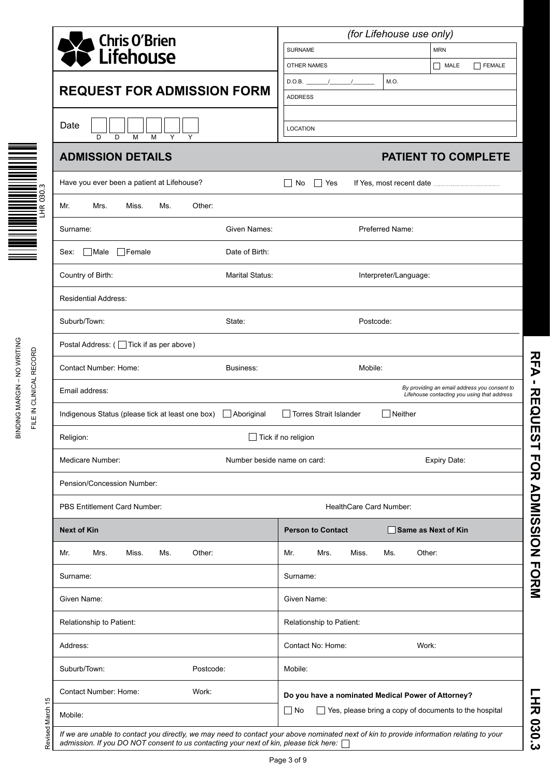|                                                               | (for Lifehouse use only)                                                                    |  |  |  |  |  |  |
|---------------------------------------------------------------|---------------------------------------------------------------------------------------------|--|--|--|--|--|--|
| <b>Chris O'Brien</b><br><b>Lifehouse</b>                      | <b>MRN</b><br><b>SURNAME</b>                                                                |  |  |  |  |  |  |
|                                                               | MALE<br><b>FEMALE</b><br><b>OTHER NAMES</b><br>$\mathsf{L}$                                 |  |  |  |  |  |  |
| <b>REQUEST FOR ADMISSION FORM</b>                             | M.O.<br>D.O.B.                                                                              |  |  |  |  |  |  |
|                                                               | <b>ADDRESS</b>                                                                              |  |  |  |  |  |  |
| Date<br>Y<br>D<br>D<br>M<br>M<br>Y                            | LOCATION                                                                                    |  |  |  |  |  |  |
| <b>ADMISSION DETAILS</b>                                      | <b>PATIENT TO COMPLETE</b>                                                                  |  |  |  |  |  |  |
| Have you ever been a patient at Lifehouse?                    | $\sqsupset$ Yes<br>No<br>$\Box$                                                             |  |  |  |  |  |  |
| Other:<br>Mr.<br>Mrs.<br>Miss.<br>Ms.                         |                                                                                             |  |  |  |  |  |  |
| Given Names:<br>Surname:                                      | Preferred Name:                                                                             |  |  |  |  |  |  |
| Female<br>$\Box$ Male<br>Date of Birth:<br>Sex:               |                                                                                             |  |  |  |  |  |  |
| Country of Birth:<br>Marital Status:                          | Interpreter/Language:                                                                       |  |  |  |  |  |  |
| <b>Residential Address:</b>                                   |                                                                                             |  |  |  |  |  |  |
| Suburb/Town:<br>State:                                        | Postcode:                                                                                   |  |  |  |  |  |  |
| Postal Address: ( Tick if as per above)                       |                                                                                             |  |  |  |  |  |  |
| Contact Number: Home:<br>Business:                            | Mobile:                                                                                     |  |  |  |  |  |  |
| Email address:                                                | By providing an email address you consent to<br>Lifehouse contacting you using that address |  |  |  |  |  |  |
| Indigenous Status (please tick at least one box)   Aboriginal | Torres Strait Islander<br>$\Box$ Neither                                                    |  |  |  |  |  |  |
| Religion:                                                     | $\Box$ Tick if no religion                                                                  |  |  |  |  |  |  |
| Medicare Number:<br>Number beside name on card:               | Expiry Date:                                                                                |  |  |  |  |  |  |
| Pension/Concession Number:                                    |                                                                                             |  |  |  |  |  |  |
| <b>PBS Entitlement Card Number:</b>                           | HealthCare Card Number:                                                                     |  |  |  |  |  |  |
| <b>Next of Kin</b>                                            | <b>Person to Contact</b><br>Same as Next of Kin                                             |  |  |  |  |  |  |
| Other:<br>Mr.<br>Mrs.<br>Miss.<br>Ms.                         | Miss.<br>Other:<br>Mr.<br>Mrs.<br>Ms.                                                       |  |  |  |  |  |  |
| Surname:                                                      | Surname:                                                                                    |  |  |  |  |  |  |
| Given Name:                                                   | Given Name:                                                                                 |  |  |  |  |  |  |
| Relationship to Patient:                                      | Relationship to Patient:                                                                    |  |  |  |  |  |  |
| Address:                                                      | Contact No: Home:<br>Work:                                                                  |  |  |  |  |  |  |
| Suburb/Town:<br>Postcode:                                     | Mobile:                                                                                     |  |  |  |  |  |  |
|                                                               |                                                                                             |  |  |  |  |  |  |
| Contact Number: Home:<br>Work:                                | Do you have a nominated Medical Power of Attorney?                                          |  |  |  |  |  |  |

Page 3 of 9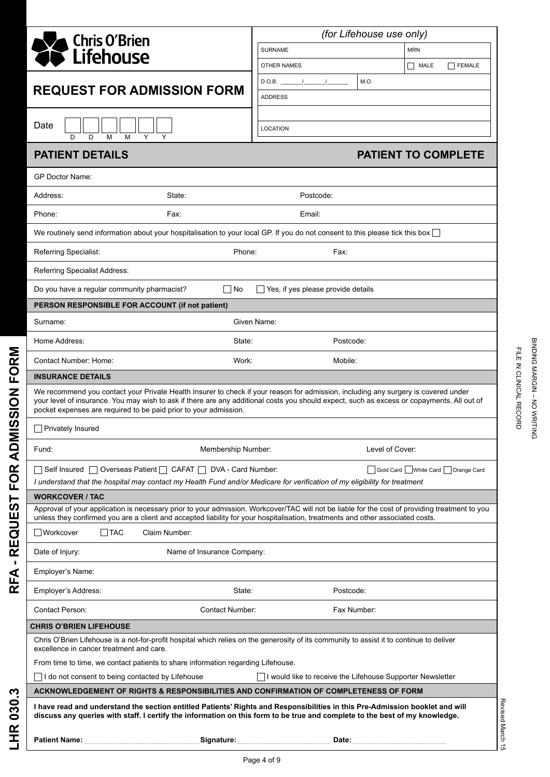| <b>Chris O'Brien</b>                                                                                                                                                                                                                                                                                                                                 | (for Lifehouse use only)                                   |                                  |  |  |  |  |
|------------------------------------------------------------------------------------------------------------------------------------------------------------------------------------------------------------------------------------------------------------------------------------------------------------------------------------------------------|------------------------------------------------------------|----------------------------------|--|--|--|--|
| Lifehouse                                                                                                                                                                                                                                                                                                                                            | <b>SURNAME</b><br><b>MRN</b>                               |                                  |  |  |  |  |
|                                                                                                                                                                                                                                                                                                                                                      | <b>OTHER NAMES</b>                                         | $\Box$ MALE<br><b>FEMALE</b>     |  |  |  |  |
| <b>REQUEST FOR ADMISSION FORM</b>                                                                                                                                                                                                                                                                                                                    | M.O.<br>$D.O.B.$ /                                         |                                  |  |  |  |  |
|                                                                                                                                                                                                                                                                                                                                                      | <b>ADDRESS</b>                                             |                                  |  |  |  |  |
| Date<br>D<br>D<br>M<br>M                                                                                                                                                                                                                                                                                                                             | <b>LOCATION</b>                                            |                                  |  |  |  |  |
| <b>PATIENT DETAILS</b>                                                                                                                                                                                                                                                                                                                               |                                                            | <b>PATIENT TO COMPLETE</b>       |  |  |  |  |
| <b>GP Doctor Name:</b>                                                                                                                                                                                                                                                                                                                               |                                                            |                                  |  |  |  |  |
| Address:<br>State:                                                                                                                                                                                                                                                                                                                                   | Postcode:                                                  |                                  |  |  |  |  |
| Phone:<br>Fax:                                                                                                                                                                                                                                                                                                                                       | Email:                                                     |                                  |  |  |  |  |
| We routinely send information about your hospitalisation to your local GP. If you do not consent to this please tick this box                                                                                                                                                                                                                        |                                                            |                                  |  |  |  |  |
| Referring Specialist:<br>Phone:                                                                                                                                                                                                                                                                                                                      | Fax:                                                       |                                  |  |  |  |  |
| Referring Specialist Address:                                                                                                                                                                                                                                                                                                                        |                                                            |                                  |  |  |  |  |
| No<br>Do you have a regular community pharmacist?                                                                                                                                                                                                                                                                                                    | Yes, if yes please provide details                         |                                  |  |  |  |  |
| PERSON RESPONSIBLE FOR ACCOUNT (if not patient)                                                                                                                                                                                                                                                                                                      |                                                            |                                  |  |  |  |  |
| Surname:                                                                                                                                                                                                                                                                                                                                             | Given Name:                                                |                                  |  |  |  |  |
| State:<br>Home Address:                                                                                                                                                                                                                                                                                                                              | Postcode:                                                  |                                  |  |  |  |  |
| Contact Number: Home:<br>Work:                                                                                                                                                                                                                                                                                                                       | Mobile:                                                    |                                  |  |  |  |  |
| <b>INSURANCE DETAILS</b>                                                                                                                                                                                                                                                                                                                             |                                                            |                                  |  |  |  |  |
| We recommend you contact your Private Health Insurer to check if your reason for admission, including any surgery is covered under<br>your level of insurance. You may wish to ask if there are any additional costs you should expect, such as excess or copayments. All out of<br>pocket expenses are required to be paid prior to your admission. |                                                            |                                  |  |  |  |  |
| <b>Privately Insured</b>                                                                                                                                                                                                                                                                                                                             |                                                            |                                  |  |  |  |  |
| Fund:<br>Membership Number:                                                                                                                                                                                                                                                                                                                          | Level of Cover:                                            |                                  |  |  |  |  |
| $\Box$ Self Insured $\Box$ Overseas Patient $\Box$ CAFAT $\Box$ DVA - Card Number:<br>I understand that the hospital may contact my Health Fund and/or Medicare for verification of my eligibility for treatment                                                                                                                                     |                                                            | Gold Card White Card Orange Card |  |  |  |  |
| <b>WORKCOVER / TAC</b>                                                                                                                                                                                                                                                                                                                               |                                                            |                                  |  |  |  |  |
| Approval of your application is necessary prior to your admission. Workcover/TAC will not be liable for the cost of providing treatment to you<br>unless they confirmed you are a client and accepted liability for your hospitalisation, treatments and other associated costs.                                                                     |                                                            |                                  |  |  |  |  |
| <b>Workcover</b><br><b>TAC</b><br>Claim Number:                                                                                                                                                                                                                                                                                                      |                                                            |                                  |  |  |  |  |
| Name of Insurance Company:<br>Date of Injury:                                                                                                                                                                                                                                                                                                        |                                                            |                                  |  |  |  |  |
| Employer's Name:                                                                                                                                                                                                                                                                                                                                     |                                                            |                                  |  |  |  |  |
| Employer's Address:<br>State:                                                                                                                                                                                                                                                                                                                        | Postcode:                                                  |                                  |  |  |  |  |
| Contact Person:<br><b>Contact Number:</b>                                                                                                                                                                                                                                                                                                            | Fax Number:                                                |                                  |  |  |  |  |
| <b>CHRIS O'BRIEN LIFEHOUSE</b>                                                                                                                                                                                                                                                                                                                       |                                                            |                                  |  |  |  |  |
| Chris O'Brien Lifehouse is a not-for-profit hospital which relies on the generosity of its community to assist it to continue to deliver<br>excellence in cancer treatment and care.                                                                                                                                                                 |                                                            |                                  |  |  |  |  |
| From time to time, we contact patients to share information regarding Lifehouse.                                                                                                                                                                                                                                                                     |                                                            |                                  |  |  |  |  |
| I do not consent to being contacted by Lifehouse                                                                                                                                                                                                                                                                                                     | I would like to receive the Lifehouse Supporter Newsletter |                                  |  |  |  |  |
| ACKNOWLEDGEMENT OF RIGHTS & RESPONSIBILITIES AND CONFIRMATION OF COMPLETENESS OF FORM                                                                                                                                                                                                                                                                |                                                            |                                  |  |  |  |  |
| I have read and understand the section entitled Patients' Rights and Responsibilities in this Pre-Admission booklet and will<br>discuss any queries with staff. I certify the information on this form to be true and complete to the best of my knowledge.                                                                                          |                                                            | Revised March                    |  |  |  |  |
| Patient Name: Mame: All Patient Name: Manual Patient Name: Manual Patient Name: Manual Patient Name: Manual Patient Name: Manual Patient Name: Manual Patient Name: Manual Patient Name: Manual Patient Name: Manual Patient N                                                                                                                       |                                                            | Ğ                                |  |  |  |  |

**RFA - REQUEST FOR ADMISSION FORM**

RFA - REQUEST FOR ADMISSION FORM

**LHR 030.3**

LHR 030.3

BINDING MARGIN – NO WRITING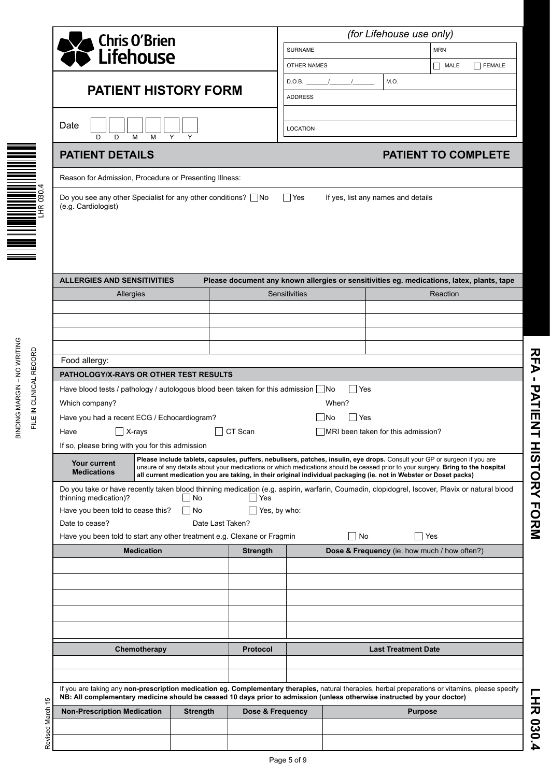|                                                          | Chris O'Brien<br>Lifehouse                                                                                                                                                                                                                                                   |                   |                  |                     | (for Lifehouse use only) |                                                                                                                                                                                                                                                                                                                                                                                   |                            |            |                            |
|----------------------------------------------------------|------------------------------------------------------------------------------------------------------------------------------------------------------------------------------------------------------------------------------------------------------------------------------|-------------------|------------------|---------------------|--------------------------|-----------------------------------------------------------------------------------------------------------------------------------------------------------------------------------------------------------------------------------------------------------------------------------------------------------------------------------------------------------------------------------|----------------------------|------------|----------------------------|
|                                                          |                                                                                                                                                                                                                                                                              |                   |                  |                     | <b>SURNAME</b>           |                                                                                                                                                                                                                                                                                                                                                                                   |                            | <b>MRN</b> |                            |
|                                                          |                                                                                                                                                                                                                                                                              |                   |                  |                     | <b>OTHER NAMES</b>       |                                                                                                                                                                                                                                                                                                                                                                                   |                            | MALE       | FEMALE                     |
|                                                          | <b>PATIENT HISTORY FORM</b>                                                                                                                                                                                                                                                  |                   |                  |                     | D.O.B.                   |                                                                                                                                                                                                                                                                                                                                                                                   | M.O.                       |            |                            |
|                                                          |                                                                                                                                                                                                                                                                              |                   |                  | <b>ADDRESS</b>      |                          |                                                                                                                                                                                                                                                                                                                                                                                   |                            |            |                            |
|                                                          | Date<br>D<br>D<br>M                                                                                                                                                                                                                                                          | Υ<br>Y            |                  | <b>LOCATION</b>     |                          |                                                                                                                                                                                                                                                                                                                                                                                   |                            |            |                            |
|                                                          | <b>PATIENT DETAILS</b>                                                                                                                                                                                                                                                       |                   |                  |                     |                          |                                                                                                                                                                                                                                                                                                                                                                                   |                            |            | <b>PATIENT TO COMPLETE</b> |
|                                                          | Reason for Admission, Procedure or Presenting Illness:                                                                                                                                                                                                                       |                   |                  |                     |                          |                                                                                                                                                                                                                                                                                                                                                                                   |                            |            |                            |
| 030.4<br>$\propto$<br>폽                                  | Do you see any other Specialist for any other conditions? $\Box$ No<br>(e.g. Cardiologist)                                                                                                                                                                                   |                   |                  |                     | $\Box$ Yes               | If yes, list any names and details                                                                                                                                                                                                                                                                                                                                                |                            |            |                            |
|                                                          | <b>ALLERGIES AND SENSITIVITIES</b>                                                                                                                                                                                                                                           |                   |                  |                     |                          | Please document any known allergies or sensitivities eg. medications, latex, plants, tape                                                                                                                                                                                                                                                                                         |                            |            |                            |
|                                                          | Allergies                                                                                                                                                                                                                                                                    |                   |                  |                     | Sensitivities            |                                                                                                                                                                                                                                                                                                                                                                                   |                            | Reaction   |                            |
|                                                          |                                                                                                                                                                                                                                                                              |                   |                  |                     |                          |                                                                                                                                                                                                                                                                                                                                                                                   |                            |            |                            |
|                                                          |                                                                                                                                                                                                                                                                              |                   |                  |                     |                          |                                                                                                                                                                                                                                                                                                                                                                                   |                            |            |                            |
|                                                          |                                                                                                                                                                                                                                                                              |                   |                  |                     |                          |                                                                                                                                                                                                                                                                                                                                                                                   |                            |            |                            |
|                                                          | Food allergy:                                                                                                                                                                                                                                                                |                   |                  |                     |                          |                                                                                                                                                                                                                                                                                                                                                                                   |                            |            |                            |
|                                                          | PATHOLOGY/X-RAYS OR OTHER TEST RESULTS                                                                                                                                                                                                                                       |                   |                  |                     |                          |                                                                                                                                                                                                                                                                                                                                                                                   |                            |            |                            |
| <b>SINDING MARGIN - NO WRITING</b><br>IN CLINICAL RECORD | Have blood tests / pathology / autologous blood been taken for this admission $\Box$ No                                                                                                                                                                                      |                   |                  |                     |                          | l lYes                                                                                                                                                                                                                                                                                                                                                                            |                            |            |                            |
|                                                          | Which company?                                                                                                                                                                                                                                                               |                   |                  |                     |                          | When?                                                                                                                                                                                                                                                                                                                                                                             |                            |            |                            |
| FILE I                                                   | Have you had a recent ECG / Echocardiogram?                                                                                                                                                                                                                                  |                   |                  |                     |                          | $\sqsupset$ Yes<br>   No                                                                                                                                                                                                                                                                                                                                                          |                            |            |                            |
|                                                          | Have                                                                                                                                                                                                                                                                         | $\exists$ X-rays  |                  | CT Scan             |                          | MRI been taken for this admission?                                                                                                                                                                                                                                                                                                                                                |                            |            |                            |
|                                                          | If so, please bring with you for this admission                                                                                                                                                                                                                              |                   |                  |                     |                          |                                                                                                                                                                                                                                                                                                                                                                                   |                            |            |                            |
|                                                          | Your current<br><b>Medications</b>                                                                                                                                                                                                                                           |                   |                  |                     |                          | Please include tablets, capsules, puffers, nebulisers, patches, insulin, eye drops. Consult your GP or surgeon if you are<br>unsure of any details about your medications or which medications should be ceased prior to your surgery. Bring to the hospital<br>all current medication you are taking, in their original individual packaging (ie. not in Webster or Doset packs) |                            |            |                            |
|                                                          | Do you take or have recently taken blood thinning medication (e.g. aspirin, warfarin, Coumadin, clopidogrel, Iscover, Plavix or natural blood<br>thinning medication)?                                                                                                       |                   | $\Box$ No        | l lYes              |                          |                                                                                                                                                                                                                                                                                                                                                                                   |                            |            |                            |
|                                                          | Have you been told to cease this?                                                                                                                                                                                                                                            |                   | No               | $\Box$ Yes, by who: |                          |                                                                                                                                                                                                                                                                                                                                                                                   |                            |            |                            |
|                                                          | Date to cease?                                                                                                                                                                                                                                                               |                   | Date Last Taken? |                     |                          |                                                                                                                                                                                                                                                                                                                                                                                   |                            |            |                            |
|                                                          | Have you been told to start any other treatment e.g. Clexane or Fragmin                                                                                                                                                                                                      |                   |                  |                     |                          | $\Box$ No                                                                                                                                                                                                                                                                                                                                                                         | $\Box$ Yes                 |            |                            |
|                                                          |                                                                                                                                                                                                                                                                              | <b>Medication</b> |                  | <b>Strength</b>     |                          | Dose & Frequency (ie. how much / how often?)                                                                                                                                                                                                                                                                                                                                      |                            |            |                            |
|                                                          |                                                                                                                                                                                                                                                                              |                   |                  |                     |                          |                                                                                                                                                                                                                                                                                                                                                                                   |                            |            |                            |
|                                                          |                                                                                                                                                                                                                                                                              |                   |                  |                     |                          |                                                                                                                                                                                                                                                                                                                                                                                   |                            |            |                            |
|                                                          |                                                                                                                                                                                                                                                                              |                   |                  |                     |                          |                                                                                                                                                                                                                                                                                                                                                                                   |                            |            |                            |
|                                                          |                                                                                                                                                                                                                                                                              |                   |                  |                     |                          |                                                                                                                                                                                                                                                                                                                                                                                   |                            |            |                            |
|                                                          |                                                                                                                                                                                                                                                                              |                   |                  |                     |                          |                                                                                                                                                                                                                                                                                                                                                                                   |                            |            |                            |
|                                                          |                                                                                                                                                                                                                                                                              | Chemotherapy      |                  | <b>Protocol</b>     |                          |                                                                                                                                                                                                                                                                                                                                                                                   | <b>Last Treatment Date</b> |            |                            |
|                                                          |                                                                                                                                                                                                                                                                              |                   |                  |                     |                          |                                                                                                                                                                                                                                                                                                                                                                                   |                            |            |                            |
|                                                          | If you are taking any non-prescription medication eg. Complementary therapies, natural therapies, herbal preparations or vitamins, please specify<br>NB: All complementary medicine should be ceased 10 days prior to admission (unless otherwise instructed by your doctor) |                   |                  |                     |                          |                                                                                                                                                                                                                                                                                                                                                                                   |                            |            |                            |
| 15                                                       | <b>Non-Prescription Medication</b>                                                                                                                                                                                                                                           |                   | <b>Strength</b>  | Dose & Frequency    |                          |                                                                                                                                                                                                                                                                                                                                                                                   | <b>Purpose</b>             |            |                            |
| Revised March                                            |                                                                                                                                                                                                                                                                              |                   |                  |                     |                          |                                                                                                                                                                                                                                                                                                                                                                                   |                            |            |                            |
|                                                          |                                                                                                                                                                                                                                                                              |                   |                  |                     |                          |                                                                                                                                                                                                                                                                                                                                                                                   |                            |            |                            |
|                                                          |                                                                                                                                                                                                                                                                              |                   |                  |                     |                          |                                                                                                                                                                                                                                                                                                                                                                                   |                            |            |                            |

Page 5 of 9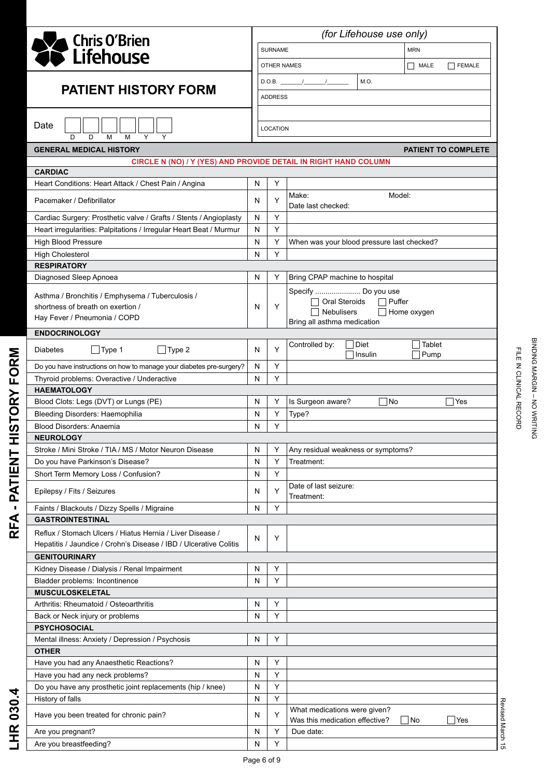|                                                                      |                                                 | (for Lifehouse use only) |                                                     |  |  |  |  |  |  |  |
|----------------------------------------------------------------------|-------------------------------------------------|--------------------------|-----------------------------------------------------|--|--|--|--|--|--|--|
| <b>A</b> Chris O'Brien<br>CLifehouse                                 |                                                 |                          | <b>MRN</b><br><b>SURNAME</b>                        |  |  |  |  |  |  |  |
|                                                                      |                                                 | OTHER NAMES              | MALE<br>FEMALE                                      |  |  |  |  |  |  |  |
|                                                                      | D.O.B. $\frac{1}{\sqrt{1-\frac{1}{2}}}$<br>M.O. |                          |                                                     |  |  |  |  |  |  |  |
| <b>PATIENT HISTORY FORM</b>                                          |                                                 |                          | <b>ADDRESS</b>                                      |  |  |  |  |  |  |  |
| Date<br>D<br>M<br>M<br>D                                             |                                                 | LOCATION                 |                                                     |  |  |  |  |  |  |  |
| <b>GENERAL MEDICAL HISTORY</b>                                       |                                                 |                          | <b>PATIENT TO COMPLETE</b>                          |  |  |  |  |  |  |  |
| CIRCLE N (NO) / Y (YES) AND PROVIDE DETAIL IN RIGHT HAND COLUMN      |                                                 |                          |                                                     |  |  |  |  |  |  |  |
| <b>CARDIAC</b>                                                       | N                                               | Y                        |                                                     |  |  |  |  |  |  |  |
| Heart Conditions: Heart Attack / Chest Pain / Angina                 |                                                 |                          | Model:<br>Make:                                     |  |  |  |  |  |  |  |
| Pacemaker / Defibrillator                                            | N                                               | Y                        | Date last checked:                                  |  |  |  |  |  |  |  |
| Cardiac Surgery: Prosthetic valve / Grafts / Stents / Angioplasty    | N                                               | Y                        |                                                     |  |  |  |  |  |  |  |
| Heart irregularities: Palpitations / Irregular Heart Beat / Murmur   | N                                               | Y                        |                                                     |  |  |  |  |  |  |  |
| High Blood Pressure                                                  | N                                               | Y                        | When was your blood pressure last checked?          |  |  |  |  |  |  |  |
| <b>High Cholesterol</b>                                              | N                                               | Y                        |                                                     |  |  |  |  |  |  |  |
| <b>RESPIRATORY</b>                                                   |                                                 |                          |                                                     |  |  |  |  |  |  |  |
| Diagnosed Sleep Apnoea                                               | N                                               | Y                        | Bring CPAP machine to hospital                      |  |  |  |  |  |  |  |
| Asthma / Bronchitis / Emphysema / Tuberculosis /                     |                                                 |                          | Specify  Do you use                                 |  |  |  |  |  |  |  |
| shortness of breath on exertion /                                    | N                                               | Y                        | Oral Steroids<br>$\Box$ Puffer                      |  |  |  |  |  |  |  |
| Hay Fever / Pneumonia / COPD                                         |                                                 |                          | <b>Nebulisers</b><br>$\Box$ Home oxygen             |  |  |  |  |  |  |  |
| <b>ENDOCRINOLOGY</b>                                                 |                                                 |                          | Bring all asthma medication                         |  |  |  |  |  |  |  |
|                                                                      |                                                 |                          | Diet<br>Controlled by:<br>Tablet                    |  |  |  |  |  |  |  |
| $\Box$ Type 2<br>$\Box$ Type 1<br><b>Diabetes</b>                    | N                                               | Y                        | Pump<br>Insulin                                     |  |  |  |  |  |  |  |
| Do you have instructions on how to manage your diabetes pre-surgery? | N                                               | Y                        |                                                     |  |  |  |  |  |  |  |
| Thyroid problems: Overactive / Underactive                           | N                                               | Y                        |                                                     |  |  |  |  |  |  |  |
| <b>HAEMATOLOGY</b>                                                   |                                                 |                          |                                                     |  |  |  |  |  |  |  |
| Blood Clots: Legs (DVT) or Lungs (PE)                                | N                                               | Y                        | Is Surgeon aware?<br>No<br>Yes                      |  |  |  |  |  |  |  |
| Bleeding Disorders: Haemophilia                                      | N                                               | Υ                        | Type?                                               |  |  |  |  |  |  |  |
| <b>Blood Disorders: Anaemia</b>                                      | N                                               | Y                        |                                                     |  |  |  |  |  |  |  |
| <b>NEUROLOGY</b>                                                     |                                                 |                          |                                                     |  |  |  |  |  |  |  |
| Stroke / Mini Stroke / TIA / MS / Motor Neuron Disease               | N                                               | Y                        | Any residual weakness or symptoms?                  |  |  |  |  |  |  |  |
| Do you have Parkinson's Disease?                                     | N                                               | Υ                        | Treatment:                                          |  |  |  |  |  |  |  |
| Short Term Memory Loss / Confusion?                                  | N                                               | Y                        |                                                     |  |  |  |  |  |  |  |
| Epilepsy / Fits / Seizures                                           | N                                               | Y                        | Date of last seizure:<br>Treatment:                 |  |  |  |  |  |  |  |
| Faints / Blackouts / Dizzy Spells / Migraine                         | N                                               | Y                        |                                                     |  |  |  |  |  |  |  |
| <b>GASTROINTESTINAL</b>                                              |                                                 |                          |                                                     |  |  |  |  |  |  |  |
| Reflux / Stomach Ulcers / Hiatus Hernia / Liver Disease /            | N                                               | Υ                        |                                                     |  |  |  |  |  |  |  |
| Hepatitis / Jaundice / Crohn's Disease / IBD / Ulcerative Colitis    |                                                 |                          |                                                     |  |  |  |  |  |  |  |
| <b>GENITOURINARY</b>                                                 |                                                 |                          |                                                     |  |  |  |  |  |  |  |
| Kidney Disease / Dialysis / Renal Impairment                         | N                                               | Y                        |                                                     |  |  |  |  |  |  |  |
| Bladder problems: Incontinence                                       | N                                               | Y                        |                                                     |  |  |  |  |  |  |  |
| <b>MUSCULOSKELETAL</b>                                               |                                                 |                          |                                                     |  |  |  |  |  |  |  |
| Arthritis: Rheumatoid / Osteoarthritis                               | N                                               | Υ                        |                                                     |  |  |  |  |  |  |  |
| Back or Neck injury or problems                                      | N                                               | Y                        |                                                     |  |  |  |  |  |  |  |
| <b>PSYCHOSOCIAL</b>                                                  |                                                 |                          |                                                     |  |  |  |  |  |  |  |
| Mental illness: Anxiety / Depression / Psychosis                     | N                                               | Y                        |                                                     |  |  |  |  |  |  |  |
| <b>OTHER</b><br>Have you had any Anaesthetic Reactions?              | N                                               | Y                        |                                                     |  |  |  |  |  |  |  |
| Have you had any neck problems?                                      | N                                               | Υ                        |                                                     |  |  |  |  |  |  |  |
| Do you have any prosthetic joint replacements (hip / knee)           | N                                               | Y                        |                                                     |  |  |  |  |  |  |  |
| History of falls                                                     | N                                               | Y                        |                                                     |  |  |  |  |  |  |  |
| Have you been treated for chronic pain?                              | N                                               | Υ                        | What medications were given?                        |  |  |  |  |  |  |  |
|                                                                      |                                                 | Y                        | Was this medication effective?<br>$\Box$ No<br> Yes |  |  |  |  |  |  |  |
| Are you pregnant?<br>Are you breastfeeding?                          | N<br>N                                          | Υ                        | Due date:                                           |  |  |  |  |  |  |  |
|                                                                      |                                                 |                          |                                                     |  |  |  |  |  |  |  |

**RFA - PATIENT HISTORY FORM**

RFA - PATIENT HISTORY FORM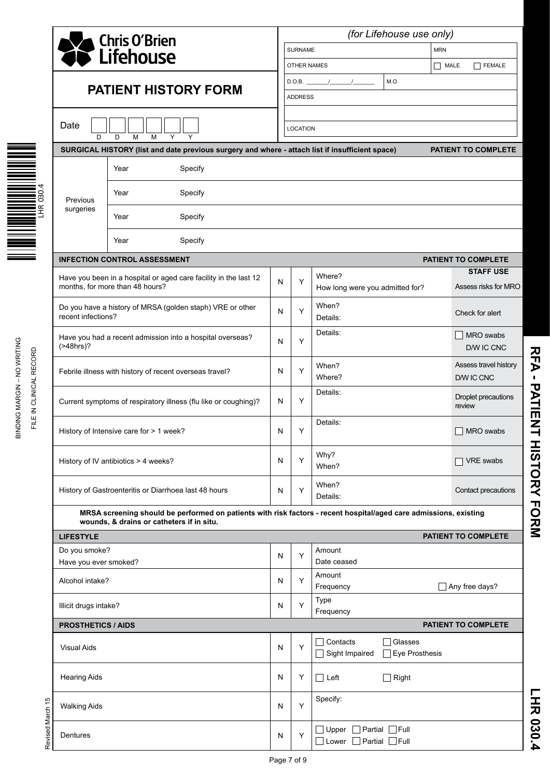|                                                          | <b>S</b> Chris O'Brien<br>Chris O'Brien                                                                                                                        |                                                                                                                          |   | (for Lifehouse use only)   |                                                                 |                                          |  |  |  |  |  |
|----------------------------------------------------------|----------------------------------------------------------------------------------------------------------------------------------------------------------------|--------------------------------------------------------------------------------------------------------------------------|---|----------------------------|-----------------------------------------------------------------|------------------------------------------|--|--|--|--|--|
|                                                          |                                                                                                                                                                |                                                                                                                          |   | <b>SURNAME</b>             |                                                                 | <b>MRN</b>                               |  |  |  |  |  |
|                                                          |                                                                                                                                                                |                                                                                                                          |   |                            | <b>OTHER NAMES</b>                                              | $\Box$ MALE<br><b>FEMALE</b>             |  |  |  |  |  |
|                                                          |                                                                                                                                                                |                                                                                                                          |   |                            | M.O.<br>$D.O.B.$ /                                              |                                          |  |  |  |  |  |
|                                                          | <b>PATIENT HISTORY FORM</b>                                                                                                                                    |                                                                                                                          |   | <b>ADDRESS</b>             |                                                                 |                                          |  |  |  |  |  |
|                                                          | Date                                                                                                                                                           |                                                                                                                          |   | <b>LOCATION</b>            |                                                                 |                                          |  |  |  |  |  |
|                                                          | D                                                                                                                                                              | D<br>M<br>Y<br>Y<br>M<br>SURGICAL HISTORY (list and date previous surgery and where - attach list if insufficient space) |   | <b>PATIENT TO COMPLETE</b> |                                                                 |                                          |  |  |  |  |  |
|                                                          |                                                                                                                                                                | Specify<br>Year                                                                                                          |   |                            |                                                                 |                                          |  |  |  |  |  |
| 030.4                                                    | Previous                                                                                                                                                       | Year<br>Specify                                                                                                          |   |                            |                                                                 |                                          |  |  |  |  |  |
| <b>THE PERSON RE</b>                                     | surgeries                                                                                                                                                      | Specify<br>Year                                                                                                          |   |                            |                                                                 |                                          |  |  |  |  |  |
|                                                          |                                                                                                                                                                | Specify<br>Year                                                                                                          |   |                            |                                                                 |                                          |  |  |  |  |  |
|                                                          | <b>INFECTION CONTROL ASSESSMENT</b><br>PATIENT TO COMPLETE                                                                                                     |                                                                                                                          |   |                            |                                                                 |                                          |  |  |  |  |  |
|                                                          |                                                                                                                                                                | Have you been in a hospital or aged care facility in the last 12<br>months, for more than 48 hours?                      | N | Y                          | Where?                                                          | <b>STAFF USE</b><br>Assess risks for MRO |  |  |  |  |  |
|                                                          | recent infections?                                                                                                                                             | Do you have a history of MRSA (golden staph) VRE or other                                                                | N | Υ                          | How long were you admitted for?<br>When?<br>Details:            | Check for alert                          |  |  |  |  |  |
| BINDING MARGIN - NO WRITING<br>E IN CLINICAL RECORD<br>긑 | (>48hrs)?                                                                                                                                                      | Have you had a recent admission into a hospital overseas?                                                                | N | Y                          | Details:                                                        | MRO swabs<br>D/W IC CNC                  |  |  |  |  |  |
|                                                          |                                                                                                                                                                | Febrile illness with history of recent overseas travel?                                                                  | N | Y                          | When?<br>Where?                                                 | Assess travel history<br>D/W IC CNC      |  |  |  |  |  |
|                                                          |                                                                                                                                                                | Current symptoms of respiratory illness (flu like or coughing)?                                                          | N | Y                          | Details:                                                        | Droplet precautions<br>review            |  |  |  |  |  |
|                                                          |                                                                                                                                                                | History of Intensive care for > 1 week?                                                                                  | N | Υ                          | Details:                                                        | MRO swabs                                |  |  |  |  |  |
|                                                          |                                                                                                                                                                | History of IV antibiotics > 4 weeks?                                                                                     | N | Y                          | Why?<br>When?                                                   | VRE swabs                                |  |  |  |  |  |
|                                                          |                                                                                                                                                                | History of Gastroenteritis or Diarrhoea last 48 hours                                                                    | N | Y                          | When?<br>Details:                                               | Contact precautions                      |  |  |  |  |  |
|                                                          | MRSA screening should be performed on patients with risk factors - recent hospital/aged care admissions, existing<br>wounds, & drains or catheters if in situ. |                                                                                                                          |   |                            |                                                                 |                                          |  |  |  |  |  |
|                                                          | <b>LIFESTYLE</b>                                                                                                                                               |                                                                                                                          |   |                            |                                                                 | PATIENT TO COMPLETE                      |  |  |  |  |  |
|                                                          | Do you smoke?<br>Have you ever smoked?                                                                                                                         |                                                                                                                          | N | Y                          | Amount<br>Date ceased                                           |                                          |  |  |  |  |  |
|                                                          | Alcohol intake?                                                                                                                                                |                                                                                                                          | N | Y                          | Amount<br>Frequency                                             | Any free days?                           |  |  |  |  |  |
|                                                          | Illicit drugs intake?                                                                                                                                          |                                                                                                                          | N | Y                          | Type<br>Frequency                                               |                                          |  |  |  |  |  |
|                                                          | <b>PROSTHETICS / AIDS</b>                                                                                                                                      |                                                                                                                          |   | PATIENT TO COMPLETE        |                                                                 |                                          |  |  |  |  |  |
|                                                          | <b>Visual Aids</b>                                                                                                                                             |                                                                                                                          | N | Y                          | Contacts<br><b>□Glasses</b><br>Sight Impaired<br>Eye Prosthesis |                                          |  |  |  |  |  |
|                                                          | <b>Hearing Aids</b>                                                                                                                                            |                                                                                                                          | N | Υ                          | $\Box$ Right<br>□ Left                                          |                                          |  |  |  |  |  |
| evised March 15                                          | <b>Walking Aids</b>                                                                                                                                            |                                                                                                                          | N | Υ                          | Specify:                                                        |                                          |  |  |  |  |  |
|                                                          | Dentures                                                                                                                                                       |                                                                                                                          | N | Υ                          | Upper Partial Full<br>$\Box$ Lower $\Box$ Partial $\Box$ Full   |                                          |  |  |  |  |  |

RHA - PATIENT HISTORY FORM **RFA - PATIENT HISTORY FORM**

LHR 030.4 **LHR 030.4**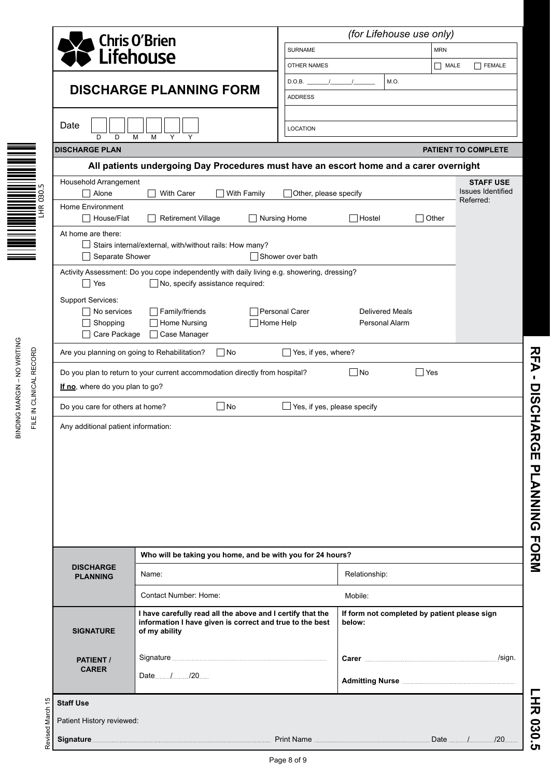|                                                        |                                                                                                                                                |                                                                                                                                         | (for Lifehouse use only)                                                                                                                                                                                                                                                                                                                                                                                        |                                                        |            |  |  |  |  |  |
|--------------------------------------------------------|------------------------------------------------------------------------------------------------------------------------------------------------|-----------------------------------------------------------------------------------------------------------------------------------------|-----------------------------------------------------------------------------------------------------------------------------------------------------------------------------------------------------------------------------------------------------------------------------------------------------------------------------------------------------------------------------------------------------------------|--------------------------------------------------------|------------|--|--|--|--|--|
|                                                        |                                                                                                                                                |                                                                                                                                         | <b>SURNAME</b>                                                                                                                                                                                                                                                                                                                                                                                                  |                                                        |            |  |  |  |  |  |
|                                                        |                                                                                                                                                | <b>Chris O'Brien<br/>Lifehouse</b>                                                                                                      |                                                                                                                                                                                                                                                                                                                                                                                                                 |                                                        | <b>MRN</b> |  |  |  |  |  |
|                                                        |                                                                                                                                                |                                                                                                                                         | <b>OTHER NAMES</b>                                                                                                                                                                                                                                                                                                                                                                                              | MALE<br>FEMALE                                         |            |  |  |  |  |  |
|                                                        |                                                                                                                                                | <b>DISCHARGE PLANNING FORM</b>                                                                                                          | D.O.B. $\frac{1}{\sqrt{1-\frac{1}{1-\frac{1}{1-\frac{1}{1-\frac{1}{1-\frac{1}{1-\frac{1}{1-\frac{1}{1-\frac{1}{1-\frac{1}{1-\frac{1}{1-\frac{1}{1-\frac{1}{1-\frac{1}{1-\frac{1}{1-\frac{1}{1-\frac{1}{1-\frac{1}{1-\frac{1}{1-\frac{1}{1-\frac{1}{1-\frac{1}{1-\frac{1}{1-\frac{1}{1-\frac{1}{1-\frac{1}{1-\frac{1}{1-\frac{1}{1-\frac{1}{1-\frac{1}{1-\frac{1}{1-\frac{1}{1-\frac{1}{1-\frac{1}{1-\frac{1}{1$ | M.O.                                                   |            |  |  |  |  |  |
|                                                        |                                                                                                                                                |                                                                                                                                         | <b>ADDRESS</b>                                                                                                                                                                                                                                                                                                                                                                                                  |                                                        |            |  |  |  |  |  |
|                                                        | Date<br>D<br>D                                                                                                                                 | Y<br>M<br>M                                                                                                                             | <b>LOCATION</b>                                                                                                                                                                                                                                                                                                                                                                                                 |                                                        |            |  |  |  |  |  |
|                                                        | <b>DISCHARGE PLAN</b>                                                                                                                          |                                                                                                                                         | PATIENT TO COMPLETE                                                                                                                                                                                                                                                                                                                                                                                             |                                                        |            |  |  |  |  |  |
|                                                        | All patients undergoing Day Procedures must have an escort home and a carer overnight                                                          |                                                                                                                                         |                                                                                                                                                                                                                                                                                                                                                                                                                 |                                                        |            |  |  |  |  |  |
| . LN<br>30.                                            | Household Arrangement<br><b>Issues Identified</b><br>With Carer<br>Other, please specify<br>Alone<br>$\Box$ With Family                        |                                                                                                                                         |                                                                                                                                                                                                                                                                                                                                                                                                                 |                                                        |            |  |  |  |  |  |
| $\circ$<br>' ∝<br>I                                    | Home Environment<br>□ House/Flat                                                                                                               | Referred:<br>Retirement Village<br>Nursing Home<br>$\Box$ Hostel<br>Other                                                               |                                                                                                                                                                                                                                                                                                                                                                                                                 |                                                        |            |  |  |  |  |  |
|                                                        | At home are there:                                                                                                                             | Stairs internal/external, with/without rails: How many?                                                                                 |                                                                                                                                                                                                                                                                                                                                                                                                                 |                                                        |            |  |  |  |  |  |
|                                                        | Separate Shower                                                                                                                                |                                                                                                                                         | Shower over bath                                                                                                                                                                                                                                                                                                                                                                                                |                                                        |            |  |  |  |  |  |
|                                                        | Activity Assessment: Do you cope independently with daily living e.g. showering, dressing?<br>$\Box$ No, specify assistance required:<br>l Yes |                                                                                                                                         |                                                                                                                                                                                                                                                                                                                                                                                                                 |                                                        |            |  |  |  |  |  |
|                                                        | <b>Support Services:</b><br>No services                                                                                                        | Family/friends                                                                                                                          | Personal Carer                                                                                                                                                                                                                                                                                                                                                                                                  | <b>Delivered Meals</b>                                 |            |  |  |  |  |  |
|                                                        | Shopping                                                                                                                                       | Home Nursing                                                                                                                            | Home Help<br>Personal Alarm                                                                                                                                                                                                                                                                                                                                                                                     |                                                        |            |  |  |  |  |  |
|                                                        | Care Package                                                                                                                                   | □ Case Manager                                                                                                                          |                                                                                                                                                                                                                                                                                                                                                                                                                 |                                                        |            |  |  |  |  |  |
|                                                        | Are you planning on going to Rehabilitation?<br>Yes, if yes, where?<br>$\Box$ No                                                               |                                                                                                                                         |                                                                                                                                                                                                                                                                                                                                                                                                                 |                                                        |            |  |  |  |  |  |
| BINDING MARGIN - NO WRITING<br>FILE IN CLINICAL RECORD | Do you plan to return to your current accommodation directly from hospital?<br>$\Box$ No<br>∣ Yes<br>If no, where do you plan to go?           |                                                                                                                                         |                                                                                                                                                                                                                                                                                                                                                                                                                 |                                                        |            |  |  |  |  |  |
|                                                        | Do you care for others at home?                                                                                                                | $\square$ No                                                                                                                            | $\Box$ Yes, if yes, please specify                                                                                                                                                                                                                                                                                                                                                                              |                                                        |            |  |  |  |  |  |
|                                                        | Any additional patient information:                                                                                                            |                                                                                                                                         |                                                                                                                                                                                                                                                                                                                                                                                                                 |                                                        |            |  |  |  |  |  |
|                                                        |                                                                                                                                                |                                                                                                                                         |                                                                                                                                                                                                                                                                                                                                                                                                                 |                                                        |            |  |  |  |  |  |
|                                                        |                                                                                                                                                |                                                                                                                                         |                                                                                                                                                                                                                                                                                                                                                                                                                 |                                                        |            |  |  |  |  |  |
|                                                        |                                                                                                                                                |                                                                                                                                         |                                                                                                                                                                                                                                                                                                                                                                                                                 |                                                        |            |  |  |  |  |  |
|                                                        |                                                                                                                                                |                                                                                                                                         |                                                                                                                                                                                                                                                                                                                                                                                                                 |                                                        |            |  |  |  |  |  |
|                                                        |                                                                                                                                                |                                                                                                                                         |                                                                                                                                                                                                                                                                                                                                                                                                                 |                                                        |            |  |  |  |  |  |
|                                                        |                                                                                                                                                |                                                                                                                                         |                                                                                                                                                                                                                                                                                                                                                                                                                 |                                                        |            |  |  |  |  |  |
|                                                        | Who will be taking you home, and be with you for 24 hours?                                                                                     |                                                                                                                                         |                                                                                                                                                                                                                                                                                                                                                                                                                 |                                                        |            |  |  |  |  |  |
|                                                        | <b>DISCHARGE</b><br><b>PLANNING</b>                                                                                                            | Name:                                                                                                                                   | Relationship:                                                                                                                                                                                                                                                                                                                                                                                                   |                                                        |            |  |  |  |  |  |
|                                                        |                                                                                                                                                | Contact Number: Home:                                                                                                                   |                                                                                                                                                                                                                                                                                                                                                                                                                 |                                                        | Mobile:    |  |  |  |  |  |
|                                                        | <b>SIGNATURE</b>                                                                                                                               | I have carefully read all the above and I certify that the<br>information I have given is correct and true to the best<br>of my ability |                                                                                                                                                                                                                                                                                                                                                                                                                 | If form not completed by patient please sign<br>below: |            |  |  |  |  |  |
|                                                        | PATIENT /                                                                                                                                      |                                                                                                                                         |                                                                                                                                                                                                                                                                                                                                                                                                                 |                                                        |            |  |  |  |  |  |
|                                                        | <b>CARER</b>                                                                                                                                   | Date / 20                                                                                                                               |                                                                                                                                                                                                                                                                                                                                                                                                                 | Admitting Nurse <b>Manual Admitting</b>                |            |  |  |  |  |  |
| <b>Staff Use</b>                                       |                                                                                                                                                |                                                                                                                                         |                                                                                                                                                                                                                                                                                                                                                                                                                 |                                                        |            |  |  |  |  |  |
|                                                        | Patient History reviewed:                                                                                                                      |                                                                                                                                         |                                                                                                                                                                                                                                                                                                                                                                                                                 |                                                        |            |  |  |  |  |  |
| Revised March 15                                       |                                                                                                                                                |                                                                                                                                         |                                                                                                                                                                                                                                                                                                                                                                                                                 |                                                        |            |  |  |  |  |  |

 $F_{\mathsf{H}}$ RFA - DISCHARGE PLANNING FORM **RFA - DISCHARGE PLANNING FORM**